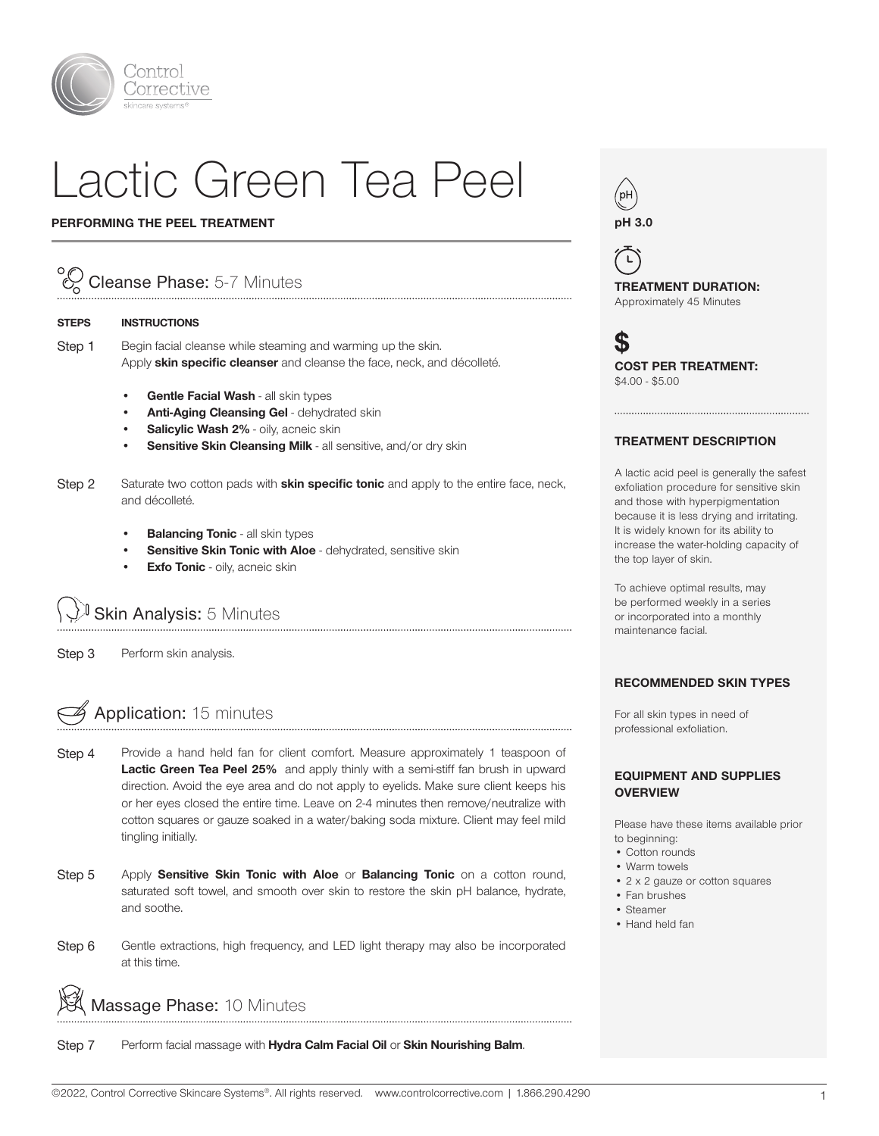

# Lactic Green Tea Peel

#### PERFORMING THE PEEL TREATMENT

### Cleanse Phase: 5-7 Minutes

#### STEPS INSTRUCTIONS

Step 1 Begin facial cleanse while steaming and warming up the skin. Apply skin specific cleanser and cleanse the face, neck, and décolleté.

- Gentle Facial Wash all skin types
- Anti-Aging Cleansing Gel dehydrated skin
- Salicylic Wash 2% oily, acneic skin
- Sensitive Skin Cleansing Milk all sensitive, and/or dry skin
- Step 2 Saturate two cotton pads with **skin specific tonic** and apply to the entire face, neck, and décolleté.
	- **Balancing Tonic all skin types**
	- Sensitive Skin Tonic with Aloe dehydrated, sensitive skin
	- **Exfo Tonic** oily, acneic skin

Skin Analysis: 5 Minutes

Step 3 Perform skin analysis.

## Application: 15 minutes

- Step 4 Provide a hand held fan for client comfort. Measure approximately 1 teaspoon of Lactic Green Tea Peel 25% and apply thinly with a semi-stiff fan brush in upward direction. Avoid the eye area and do not apply to eyelids. Make sure client keeps his or her eyes closed the entire time. Leave on 2-4 minutes then remove/neutralize with cotton squares or gauze soaked in a water/baking soda mixture. Client may feel mild tingling initially.
- Step 5 Apply Sensitive Skin Tonic with Aloe or Balancing Tonic on a cotton round, saturated soft towel, and smooth over skin to restore the skin pH balance, hydrate, and soothe.
- Step 6 Gentle extractions, high frequency, and LED light therapy may also be incorporated at this time.

Massage Phase: 10 Minutes

Step 7 Perform facial massage with Hydra Calm Facial Oil or Skin Nourishing Balm.



 $\mathbf{r}$ TREATMENT DURATION: Approximately 45 Minutes

S COST PER TREATMENT: \$4.00 - \$5.00

#### TREATMENT DESCRIPTION

A lactic acid peel is generally the safest exfoliation procedure for sensitive skin and those with hyperpigmentation because it is less drying and irritating. It is widely known for its ability to increase the water-holding capacity of the top layer of skin.

To achieve optimal results, may be performed weekly in a series or incorporated into a monthly maintenance facial.

#### RECOMMENDED SKIN TYPES

For all skin types in need of professional exfoliation.

#### EQUIPMENT AND SUPPLIES **OVERVIEW**

Please have these items available prior to beginning:

- Cotton rounds
- Warm towels
- 2 x 2 gauze or cotton squares
- Fan brushes
- Steamer
- Hand held fan